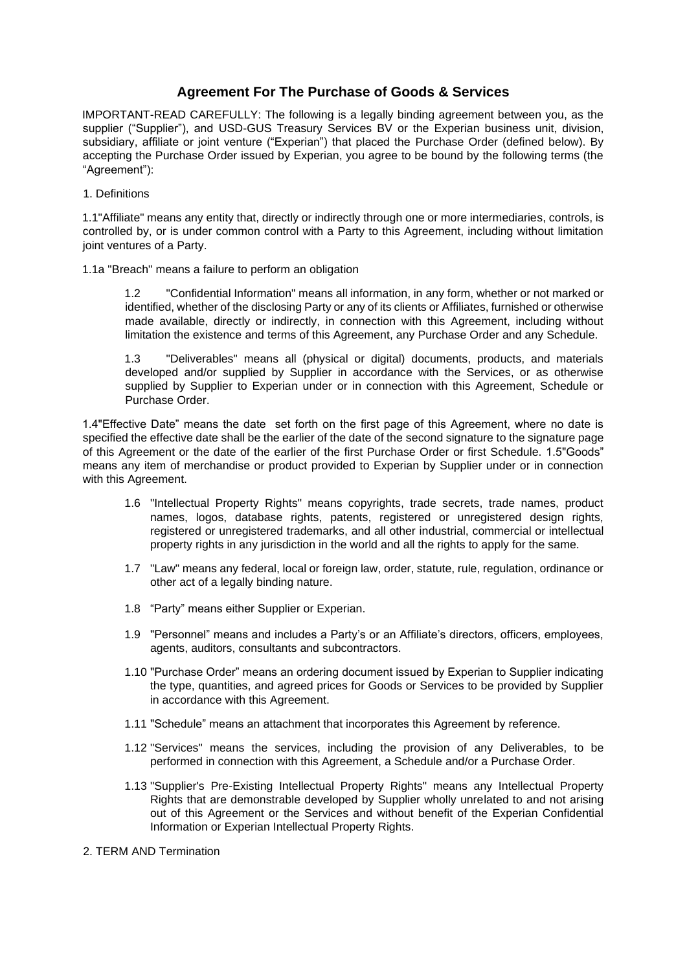# **Agreement For The Purchase of Goods & Services**

IMPORTANT-READ CAREFULLY: The following is a legally binding agreement between you, as the supplier ("Supplier"), and USD-GUS Treasury Services BV or the Experian business unit, division, subsidiary, affiliate or joint venture ("Experian") that placed the Purchase Order (defined below). By accepting the Purchase Order issued by Experian, you agree to be bound by the following terms (the "Agreement"):

1. Definitions

1.1"Affiliate" means any entity that, directly or indirectly through one or more intermediaries, controls, is controlled by, or is under common control with a Party to this Agreement, including without limitation joint ventures of a Party.

1.1a "Breach" means a failure to perform an obligation

1.2 "Confidential Information" means all information, in any form, whether or not marked or identified, whether of the disclosing Party or any of its clients or Affiliates, furnished or otherwise made available, directly or indirectly, in connection with this Agreement, including without limitation the existence and terms of this Agreement, any Purchase Order and any Schedule.

1.3 "Deliverables" means all (physical or digital) documents, products, and materials developed and/or supplied by Supplier in accordance with the Services, or as otherwise supplied by Supplier to Experian under or in connection with this Agreement, Schedule or Purchase Order.

1.4"Effective Date" means the date set forth on the first page of this Agreement, where no date is specified the effective date shall be the earlier of the date of the second signature to the signature page of this Agreement or the date of the earlier of the first Purchase Order or first Schedule. 1.5"Goods" means any item of merchandise or product provided to Experian by Supplier under or in connection with this Agreement.

- 1.6 "Intellectual Property Rights" means copyrights, trade secrets, trade names, product names, logos, database rights, patents, registered or unregistered design rights, registered or unregistered trademarks, and all other industrial, commercial or intellectual property rights in any jurisdiction in the world and all the rights to apply for the same.
- 1.7 "Law" means any federal, local or foreign law, order, statute, rule, regulation, ordinance or other act of a legally binding nature.
- 1.8 "Party" means either Supplier or Experian.
- 1.9 "Personnel" means and includes a Party's or an Affiliate's directors, officers, employees, agents, auditors, consultants and subcontractors.
- 1.10 "Purchase Order" means an ordering document issued by Experian to Supplier indicating the type, quantities, and agreed prices for Goods or Services to be provided by Supplier in accordance with this Agreement.
- 1.11 "Schedule" means an attachment that incorporates this Agreement by reference.
- 1.12 "Services" means the services, including the provision of any Deliverables, to be performed in connection with this Agreement, a Schedule and/or a Purchase Order.
- 1.13 "Supplier's Pre-Existing Intellectual Property Rights" means any Intellectual Property Rights that are demonstrable developed by Supplier wholly unrelated to and not arising out of this Agreement or the Services and without benefit of the Experian Confidential Information or Experian Intellectual Property Rights.
- 2. TERM AND Termination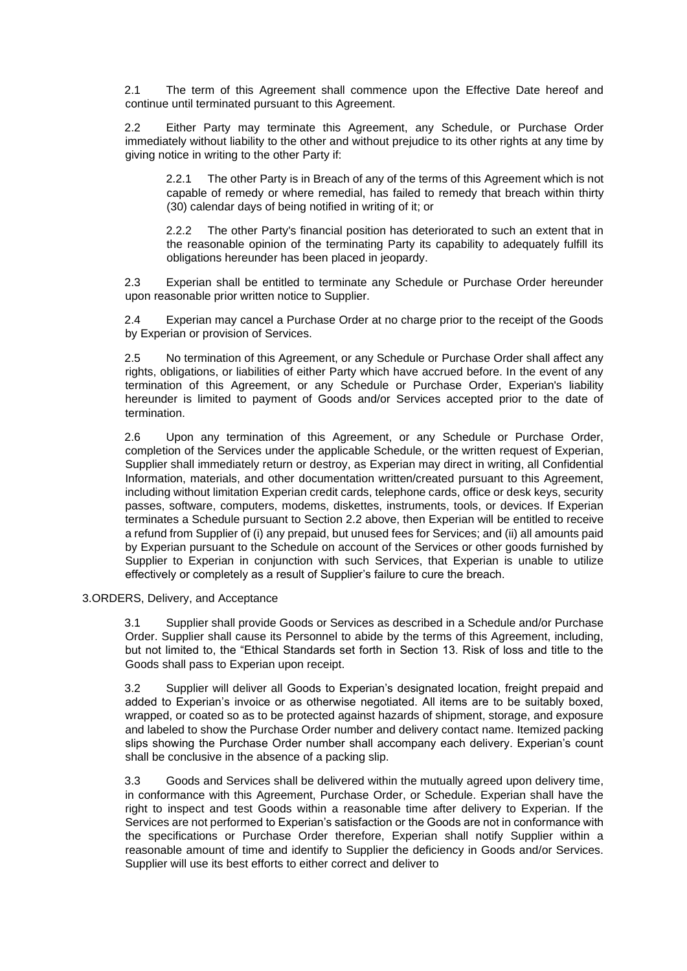2.1 The term of this Agreement shall commence upon the Effective Date hereof and continue until terminated pursuant to this Agreement.

2.2 Either Party may terminate this Agreement, any Schedule, or Purchase Order immediately without liability to the other and without prejudice to its other rights at any time by giving notice in writing to the other Party if:

2.2.1 The other Party is in Breach of any of the terms of this Agreement which is not capable of remedy or where remedial, has failed to remedy that breach within thirty (30) calendar days of being notified in writing of it; or

2.2.2 The other Party's financial position has deteriorated to such an extent that in the reasonable opinion of the terminating Party its capability to adequately fulfill its obligations hereunder has been placed in jeopardy.

2.3 Experian shall be entitled to terminate any Schedule or Purchase Order hereunder upon reasonable prior written notice to Supplier.

2.4 Experian may cancel a Purchase Order at no charge prior to the receipt of the Goods by Experian or provision of Services.

2.5 No termination of this Agreement, or any Schedule or Purchase Order shall affect any rights, obligations, or liabilities of either Party which have accrued before. In the event of any termination of this Agreement, or any Schedule or Purchase Order, Experian's liability hereunder is limited to payment of Goods and/or Services accepted prior to the date of termination.

2.6 Upon any termination of this Agreement, or any Schedule or Purchase Order, completion of the Services under the applicable Schedule, or the written request of Experian, Supplier shall immediately return or destroy, as Experian may direct in writing, all Confidential Information, materials, and other documentation written/created pursuant to this Agreement, including without limitation Experian credit cards, telephone cards, office or desk keys, security passes, software, computers, modems, diskettes, instruments, tools, or devices. If Experian terminates a Schedule pursuant to Section 2.2 above, then Experian will be entitled to receive a refund from Supplier of (i) any prepaid, but unused fees for Services; and (ii) all amounts paid by Experian pursuant to the Schedule on account of the Services or other goods furnished by Supplier to Experian in conjunction with such Services, that Experian is unable to utilize effectively or completely as a result of Supplier's failure to cure the breach.

## 3.ORDERS, Delivery, and Acceptance

3.1 Supplier shall provide Goods or Services as described in a Schedule and/or Purchase Order. Supplier shall cause its Personnel to abide by the terms of this Agreement, including, but not limited to, the "Ethical Standards set forth in Section 13. Risk of loss and title to the Goods shall pass to Experian upon receipt.

3.2 Supplier will deliver all Goods to Experian's designated location, freight prepaid and added to Experian's invoice or as otherwise negotiated. All items are to be suitably boxed, wrapped, or coated so as to be protected against hazards of shipment, storage, and exposure and labeled to show the Purchase Order number and delivery contact name. Itemized packing slips showing the Purchase Order number shall accompany each delivery. Experian's count shall be conclusive in the absence of a packing slip.

3.3 Goods and Services shall be delivered within the mutually agreed upon delivery time, in conformance with this Agreement, Purchase Order, or Schedule. Experian shall have the right to inspect and test Goods within a reasonable time after delivery to Experian. If the Services are not performed to Experian's satisfaction or the Goods are not in conformance with the specifications or Purchase Order therefore, Experian shall notify Supplier within a reasonable amount of time and identify to Supplier the deficiency in Goods and/or Services. Supplier will use its best efforts to either correct and deliver to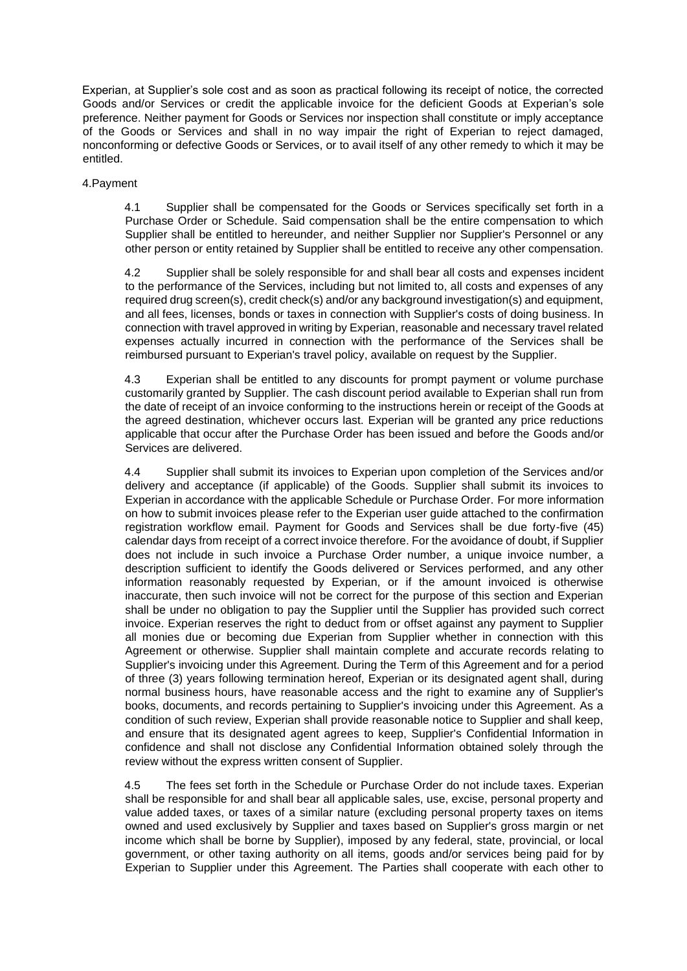Experian, at Supplier's sole cost and as soon as practical following its receipt of notice, the corrected Goods and/or Services or credit the applicable invoice for the deficient Goods at Experian's sole preference. Neither payment for Goods or Services nor inspection shall constitute or imply acceptance of the Goods or Services and shall in no way impair the right of Experian to reject damaged, nonconforming or defective Goods or Services, or to avail itself of any other remedy to which it may be entitled.

## 4.Payment

4.1 Supplier shall be compensated for the Goods or Services specifically set forth in a Purchase Order or Schedule. Said compensation shall be the entire compensation to which Supplier shall be entitled to hereunder, and neither Supplier nor Supplier's Personnel or any other person or entity retained by Supplier shall be entitled to receive any other compensation.

4.2 Supplier shall be solely responsible for and shall bear all costs and expenses incident to the performance of the Services, including but not limited to, all costs and expenses of any required drug screen(s), credit check(s) and/or any background investigation(s) and equipment, and all fees, licenses, bonds or taxes in connection with Supplier's costs of doing business. In connection with travel approved in writing by Experian, reasonable and necessary travel related expenses actually incurred in connection with the performance of the Services shall be reimbursed pursuant to Experian's travel policy, available on request by the Supplier.

4.3 Experian shall be entitled to any discounts for prompt payment or volume purchase customarily granted by Supplier. The cash discount period available to Experian shall run from the date of receipt of an invoice conforming to the instructions herein or receipt of the Goods at the agreed destination, whichever occurs last. Experian will be granted any price reductions applicable that occur after the Purchase Order has been issued and before the Goods and/or Services are delivered.

4.4 Supplier shall submit its invoices to Experian upon completion of the Services and/or delivery and acceptance (if applicable) of the Goods. Supplier shall submit its invoices to Experian in accordance with the applicable Schedule or Purchase Order. For more information on how to submit invoices please refer to the Experian user guide attached to the confirmation registration workflow email. Payment for Goods and Services shall be due forty-five (45) calendar days from receipt of a correct invoice therefore. For the avoidance of doubt, if Supplier does not include in such invoice a Purchase Order number, a unique invoice number, a description sufficient to identify the Goods delivered or Services performed, and any other information reasonably requested by Experian, or if the amount invoiced is otherwise inaccurate, then such invoice will not be correct for the purpose of this section and Experian shall be under no obligation to pay the Supplier until the Supplier has provided such correct invoice. Experian reserves the right to deduct from or offset against any payment to Supplier all monies due or becoming due Experian from Supplier whether in connection with this Agreement or otherwise. Supplier shall maintain complete and accurate records relating to Supplier's invoicing under this Agreement. During the Term of this Agreement and for a period of three (3) years following termination hereof, Experian or its designated agent shall, during normal business hours, have reasonable access and the right to examine any of Supplier's books, documents, and records pertaining to Supplier's invoicing under this Agreement. As a condition of such review, Experian shall provide reasonable notice to Supplier and shall keep, and ensure that its designated agent agrees to keep, Supplier's Confidential Information in confidence and shall not disclose any Confidential Information obtained solely through the review without the express written consent of Supplier.

4.5 The fees set forth in the Schedule or Purchase Order do not include taxes. Experian shall be responsible for and shall bear all applicable sales, use, excise, personal property and value added taxes, or taxes of a similar nature (excluding personal property taxes on items owned and used exclusively by Supplier and taxes based on Supplier's gross margin or net income which shall be borne by Supplier), imposed by any federal, state, provincial, or local government, or other taxing authority on all items, goods and/or services being paid for by Experian to Supplier under this Agreement. The Parties shall cooperate with each other to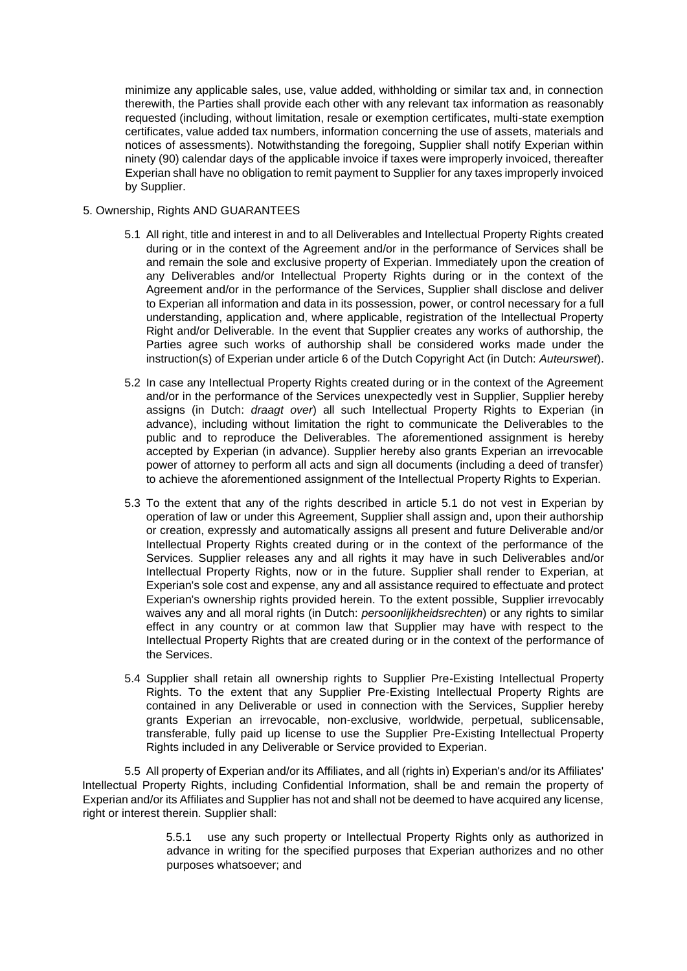minimize any applicable sales, use, value added, withholding or similar tax and, in connection therewith, the Parties shall provide each other with any relevant tax information as reasonably requested (including, without limitation, resale or exemption certificates, multi-state exemption certificates, value added tax numbers, information concerning the use of assets, materials and notices of assessments). Notwithstanding the foregoing, Supplier shall notify Experian within ninety (90) calendar days of the applicable invoice if taxes were improperly invoiced, thereafter Experian shall have no obligation to remit payment to Supplier for any taxes improperly invoiced by Supplier.

## 5. Ownership, Rights AND GUARANTEES

- 5.1 All right, title and interest in and to all Deliverables and Intellectual Property Rights created during or in the context of the Agreement and/or in the performance of Services shall be and remain the sole and exclusive property of Experian. Immediately upon the creation of any Deliverables and/or Intellectual Property Rights during or in the context of the Agreement and/or in the performance of the Services, Supplier shall disclose and deliver to Experian all information and data in its possession, power, or control necessary for a full understanding, application and, where applicable, registration of the Intellectual Property Right and/or Deliverable. In the event that Supplier creates any works of authorship, the Parties agree such works of authorship shall be considered works made under the instruction(s) of Experian under article 6 of the Dutch Copyright Act (in Dutch: *Auteurswet*).
- 5.2 In case any Intellectual Property Rights created during or in the context of the Agreement and/or in the performance of the Services unexpectedly vest in Supplier, Supplier hereby assigns (in Dutch: *draagt over*) all such Intellectual Property Rights to Experian (in advance), including without limitation the right to communicate the Deliverables to the public and to reproduce the Deliverables. The aforementioned assignment is hereby accepted by Experian (in advance). Supplier hereby also grants Experian an irrevocable power of attorney to perform all acts and sign all documents (including a deed of transfer) to achieve the aforementioned assignment of the Intellectual Property Rights to Experian.
- 5.3 To the extent that any of the rights described in article 5.1 do not vest in Experian by operation of law or under this Agreement, Supplier shall assign and, upon their authorship or creation, expressly and automatically assigns all present and future Deliverable and/or Intellectual Property Rights created during or in the context of the performance of the Services. Supplier releases any and all rights it may have in such Deliverables and/or Intellectual Property Rights, now or in the future. Supplier shall render to Experian, at Experian's sole cost and expense, any and all assistance required to effectuate and protect Experian's ownership rights provided herein. To the extent possible, Supplier irrevocably waives any and all moral rights (in Dutch: *persoonlijkheidsrechten*) or any rights to similar effect in any country or at common law that Supplier may have with respect to the Intellectual Property Rights that are created during or in the context of the performance of the Services.
- 5.4 Supplier shall retain all ownership rights to Supplier Pre-Existing Intellectual Property Rights. To the extent that any Supplier Pre-Existing Intellectual Property Rights are contained in any Deliverable or used in connection with the Services, Supplier hereby grants Experian an irrevocable, non-exclusive, worldwide, perpetual, sublicensable, transferable, fully paid up license to use the Supplier Pre-Existing Intellectual Property Rights included in any Deliverable or Service provided to Experian.

5.5 All property of Experian and/or its Affiliates, and all (rights in) Experian's and/or its Affiliates' Intellectual Property Rights, including Confidential Information, shall be and remain the property of Experian and/or its Affiliates and Supplier has not and shall not be deemed to have acquired any license, right or interest therein. Supplier shall:

> 5.5.1 use any such property or Intellectual Property Rights only as authorized in advance in writing for the specified purposes that Experian authorizes and no other purposes whatsoever; and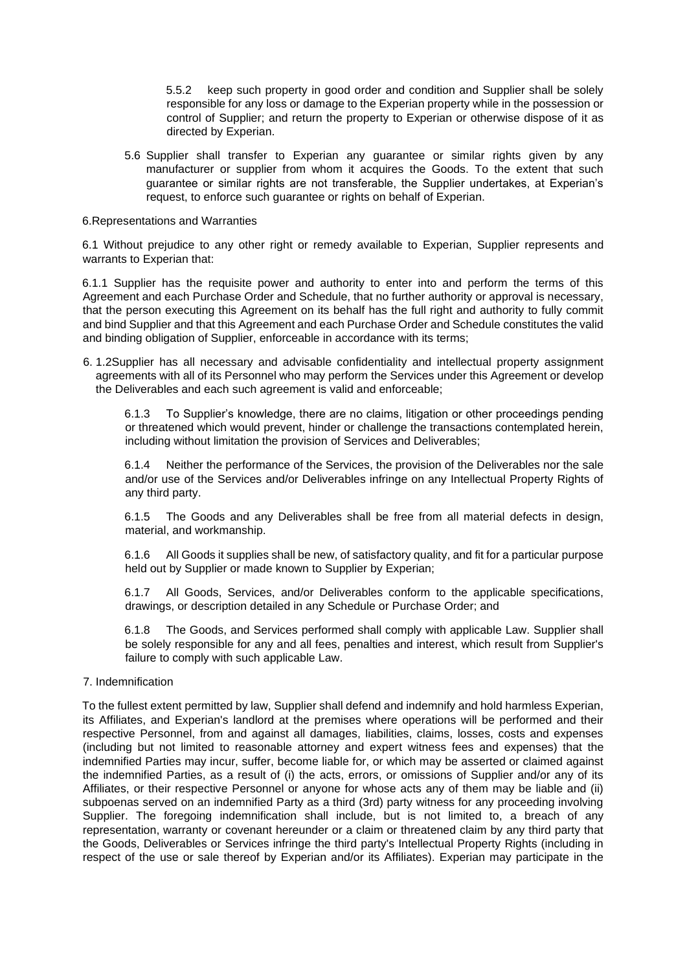5.5.2 keep such property in good order and condition and Supplier shall be solely responsible for any loss or damage to the Experian property while in the possession or control of Supplier; and return the property to Experian or otherwise dispose of it as directed by Experian.

5.6 Supplier shall transfer to Experian any guarantee or similar rights given by any manufacturer or supplier from whom it acquires the Goods. To the extent that such guarantee or similar rights are not transferable, the Supplier undertakes, at Experian's request, to enforce such quarantee or rights on behalf of Experian.

#### 6.Representations and Warranties

6.1 Without prejudice to any other right or remedy available to Experian, Supplier represents and warrants to Experian that:

6.1.1 Supplier has the requisite power and authority to enter into and perform the terms of this Agreement and each Purchase Order and Schedule, that no further authority or approval is necessary, that the person executing this Agreement on its behalf has the full right and authority to fully commit and bind Supplier and that this Agreement and each Purchase Order and Schedule constitutes the valid and binding obligation of Supplier, enforceable in accordance with its terms;

6. 1.2Supplier has all necessary and advisable confidentiality and intellectual property assignment agreements with all of its Personnel who may perform the Services under this Agreement or develop the Deliverables and each such agreement is valid and enforceable;

6.1.3 To Supplier's knowledge, there are no claims, litigation or other proceedings pending or threatened which would prevent, hinder or challenge the transactions contemplated herein, including without limitation the provision of Services and Deliverables;

6.1.4 Neither the performance of the Services, the provision of the Deliverables nor the sale and/or use of the Services and/or Deliverables infringe on any Intellectual Property Rights of any third party.

6.1.5 The Goods and any Deliverables shall be free from all material defects in design, material, and workmanship.

6.1.6 All Goods it supplies shall be new, of satisfactory quality, and fit for a particular purpose held out by Supplier or made known to Supplier by Experian;

6.1.7 All Goods, Services, and/or Deliverables conform to the applicable specifications, drawings, or description detailed in any Schedule or Purchase Order; and

6.1.8 The Goods, and Services performed shall comply with applicable Law. Supplier shall be solely responsible for any and all fees, penalties and interest, which result from Supplier's failure to comply with such applicable Law.

# 7. Indemnification

To the fullest extent permitted by law, Supplier shall defend and indemnify and hold harmless Experian, its Affiliates, and Experian's landlord at the premises where operations will be performed and their respective Personnel, from and against all damages, liabilities, claims, losses, costs and expenses (including but not limited to reasonable attorney and expert witness fees and expenses) that the indemnified Parties may incur, suffer, become liable for, or which may be asserted or claimed against the indemnified Parties, as a result of (i) the acts, errors, or omissions of Supplier and/or any of its Affiliates, or their respective Personnel or anyone for whose acts any of them may be liable and (ii) subpoenas served on an indemnified Party as a third (3rd) party witness for any proceeding involving Supplier. The foregoing indemnification shall include, but is not limited to, a breach of any representation, warranty or covenant hereunder or a claim or threatened claim by any third party that the Goods, Deliverables or Services infringe the third party's Intellectual Property Rights (including in respect of the use or sale thereof by Experian and/or its Affiliates). Experian may participate in the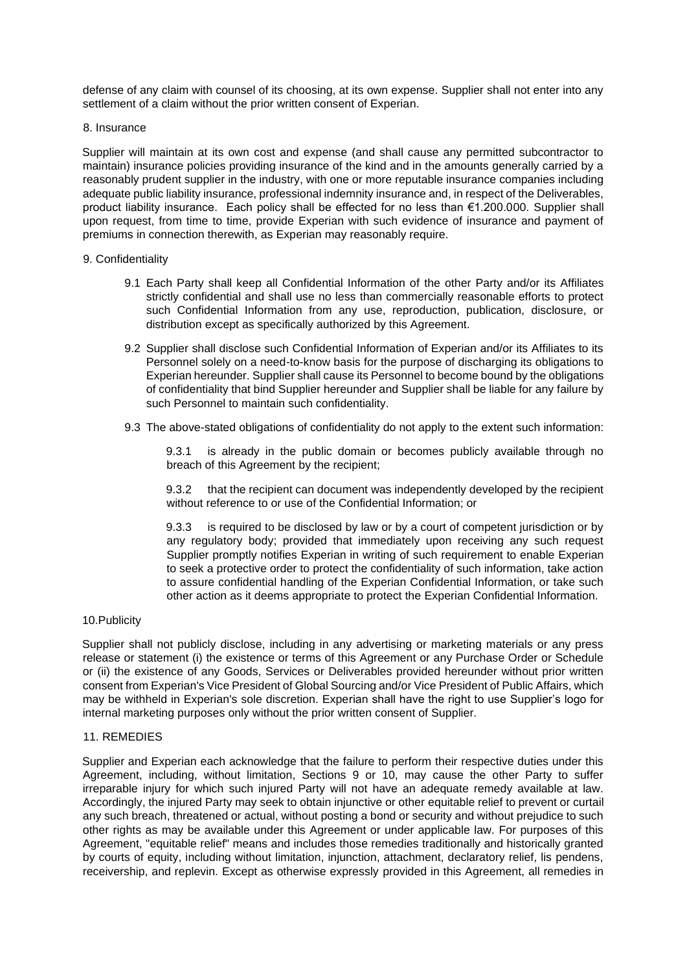defense of any claim with counsel of its choosing, at its own expense. Supplier shall not enter into any settlement of a claim without the prior written consent of Experian.

#### 8. Insurance

Supplier will maintain at its own cost and expense (and shall cause any permitted subcontractor to maintain) insurance policies providing insurance of the kind and in the amounts generally carried by a reasonably prudent supplier in the industry, with one or more reputable insurance companies including adequate public liability insurance, professional indemnity insurance and, in respect of the Deliverables, product liability insurance. Each policy shall be effected for no less than €1.200.000. Supplier shall upon request, from time to time, provide Experian with such evidence of insurance and payment of premiums in connection therewith, as Experian may reasonably require.

## 9. Confidentiality

- 9.1 Each Party shall keep all Confidential Information of the other Party and/or its Affiliates strictly confidential and shall use no less than commercially reasonable efforts to protect such Confidential Information from any use, reproduction, publication, disclosure, or distribution except as specifically authorized by this Agreement.
- 9.2 Supplier shall disclose such Confidential Information of Experian and/or its Affiliates to its Personnel solely on a need-to-know basis for the purpose of discharging its obligations to Experian hereunder. Supplier shall cause its Personnel to become bound by the obligations of confidentiality that bind Supplier hereunder and Supplier shall be liable for any failure by such Personnel to maintain such confidentiality.
- 9.3 The above-stated obligations of confidentiality do not apply to the extent such information:

9.3.1 is already in the public domain or becomes publicly available through no breach of this Agreement by the recipient;

9.3.2 that the recipient can document was independently developed by the recipient without reference to or use of the Confidential Information; or

9.3.3 is required to be disclosed by law or by a court of competent jurisdiction or by any regulatory body; provided that immediately upon receiving any such request Supplier promptly notifies Experian in writing of such requirement to enable Experian to seek a protective order to protect the confidentiality of such information, take action to assure confidential handling of the Experian Confidential Information, or take such other action as it deems appropriate to protect the Experian Confidential Information.

## 10.Publicity

Supplier shall not publicly disclose, including in any advertising or marketing materials or any press release or statement (i) the existence or terms of this Agreement or any Purchase Order or Schedule or (ii) the existence of any Goods, Services or Deliverables provided hereunder without prior written consent from Experian's Vice President of Global Sourcing and/or Vice President of Public Affairs, which may be withheld in Experian's sole discretion. Experian shall have the right to use Supplier's logo for internal marketing purposes only without the prior written consent of Supplier.

## 11. REMEDIES

Supplier and Experian each acknowledge that the failure to perform their respective duties under this Agreement, including, without limitation, Sections 9 or 10, may cause the other Party to suffer irreparable injury for which such injured Party will not have an adequate remedy available at law. Accordingly, the injured Party may seek to obtain injunctive or other equitable relief to prevent or curtail any such breach, threatened or actual, without posting a bond or security and without prejudice to such other rights as may be available under this Agreement or under applicable law. For purposes of this Agreement, "equitable relief" means and includes those remedies traditionally and historically granted by courts of equity, including without limitation, injunction, attachment, declaratory relief, lis pendens, receivership, and replevin. Except as otherwise expressly provided in this Agreement, all remedies in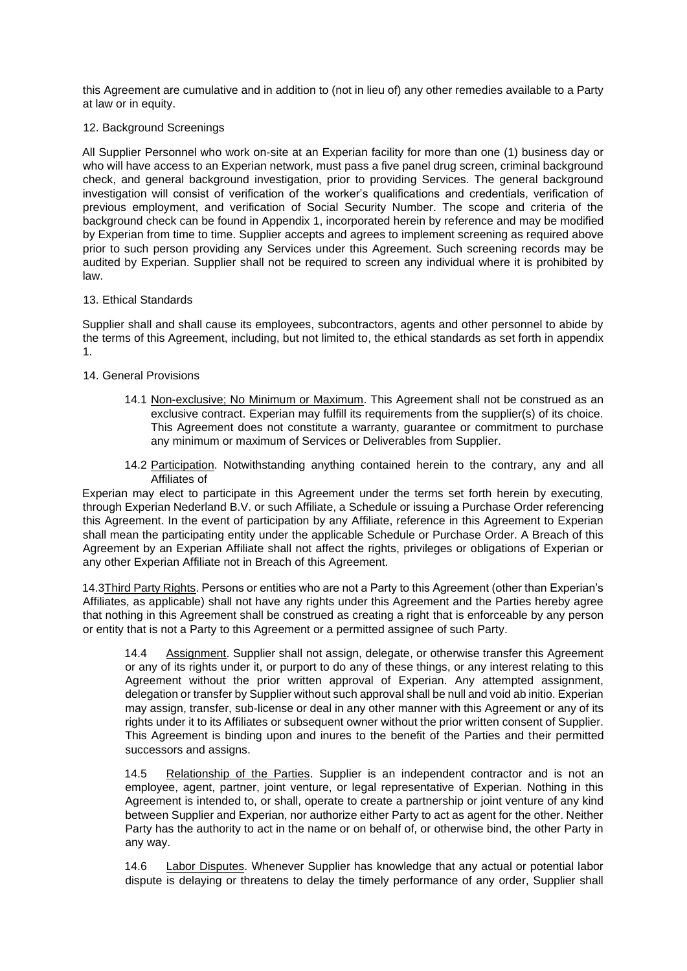this Agreement are cumulative and in addition to (not in lieu of) any other remedies available to a Party at law or in equity.

## 12. Background Screenings

All Supplier Personnel who work on-site at an Experian facility for more than one (1) business day or who will have access to an Experian network, must pass a five panel drug screen, criminal background check, and general background investigation, prior to providing Services. The general background investigation will consist of verification of the worker's qualifications and credentials, verification of previous employment, and verification of Social Security Number. The scope and criteria of the background check can be found in Appendix 1, incorporated herein by reference and may be modified by Experian from time to time. Supplier accepts and agrees to implement screening as required above prior to such person providing any Services under this Agreement. Such screening records may be audited by Experian. Supplier shall not be required to screen any individual where it is prohibited by law.

## 13. Ethical Standards

Supplier shall and shall cause its employees, subcontractors, agents and other personnel to abide by the terms of this Agreement, including, but not limited to, the ethical standards as set forth in appendix 1.

## 14. General Provisions

- 14.1 Non-exclusive; No Minimum or Maximum. This Agreement shall not be construed as an exclusive contract. Experian may fulfill its requirements from the supplier(s) of its choice. This Agreement does not constitute a warranty, guarantee or commitment to purchase any minimum or maximum of Services or Deliverables from Supplier.
- 14.2 Participation. Notwithstanding anything contained herein to the contrary, any and all Affiliates of

Experian may elect to participate in this Agreement under the terms set forth herein by executing, through Experian Nederland B.V. or such Affiliate, a Schedule or issuing a Purchase Order referencing this Agreement. In the event of participation by any Affiliate, reference in this Agreement to Experian shall mean the participating entity under the applicable Schedule or Purchase Order. A Breach of this Agreement by an Experian Affiliate shall not affect the rights, privileges or obligations of Experian or any other Experian Affiliate not in Breach of this Agreement.

14.3Third Party Rights. Persons or entities who are not a Party to this Agreement (other than Experian's Affiliates, as applicable) shall not have any rights under this Agreement and the Parties hereby agree that nothing in this Agreement shall be construed as creating a right that is enforceable by any person or entity that is not a Party to this Agreement or a permitted assignee of such Party.

14.4 Assignment. Supplier shall not assign, delegate, or otherwise transfer this Agreement or any of its rights under it, or purport to do any of these things, or any interest relating to this Agreement without the prior written approval of Experian. Any attempted assignment, delegation or transfer by Supplier without such approval shall be null and void ab initio. Experian may assign, transfer, sub-license or deal in any other manner with this Agreement or any of its rights under it to its Affiliates or subsequent owner without the prior written consent of Supplier. This Agreement is binding upon and inures to the benefit of the Parties and their permitted successors and assigns.

14.5 Relationship of the Parties. Supplier is an independent contractor and is not an employee, agent, partner, joint venture, or legal representative of Experian. Nothing in this Agreement is intended to, or shall, operate to create a partnership or joint venture of any kind between Supplier and Experian, nor authorize either Party to act as agent for the other. Neither Party has the authority to act in the name or on behalf of, or otherwise bind, the other Party in any way.

14.6 Labor Disputes. Whenever Supplier has knowledge that any actual or potential labor dispute is delaying or threatens to delay the timely performance of any order, Supplier shall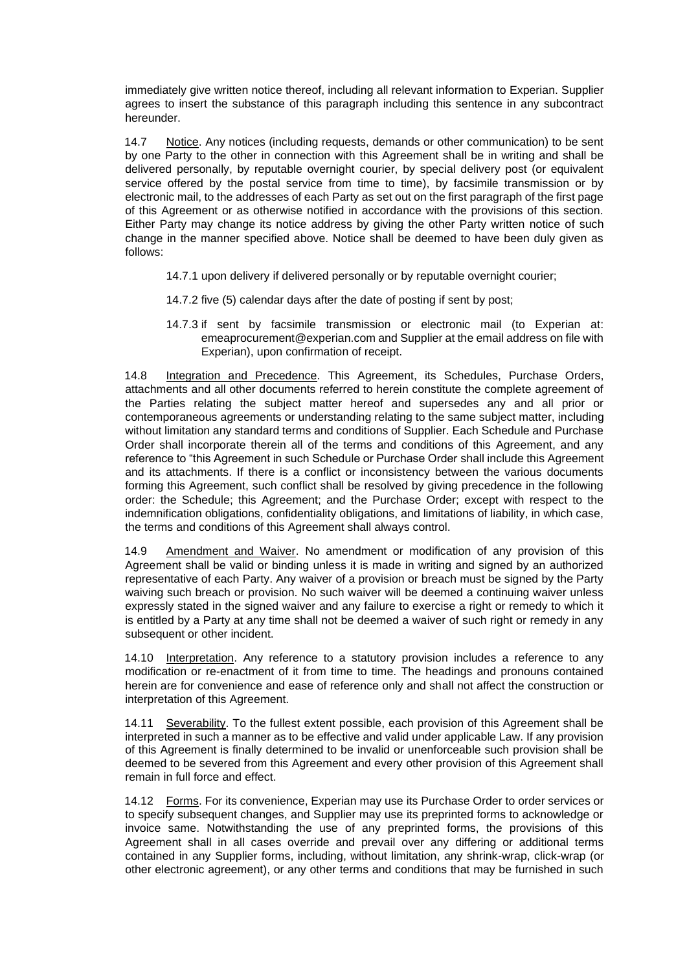immediately give written notice thereof, including all relevant information to Experian. Supplier agrees to insert the substance of this paragraph including this sentence in any subcontract hereunder.

14.7 Notice. Any notices (including requests, demands or other communication) to be sent by one Party to the other in connection with this Agreement shall be in writing and shall be delivered personally, by reputable overnight courier, by special delivery post (or equivalent service offered by the postal service from time to time), by facsimile transmission or by electronic mail, to the addresses of each Party as set out on the first paragraph of the first page of this Agreement or as otherwise notified in accordance with the provisions of this section. Either Party may change its notice address by giving the other Party written notice of such change in the manner specified above. Notice shall be deemed to have been duly given as follows:

- 14.7.1 upon delivery if delivered personally or by reputable overnight courier;
- 14.7.2 five (5) calendar days after the date of posting if sent by post;
- 14.7.3 if sent by facsimile transmission or electronic mail (to Experian at: emeaprocurement@experian.com and Supplier at the email address on file with Experian), upon confirmation of receipt.

14.8 Integration and Precedence. This Agreement, its Schedules, Purchase Orders, attachments and all other documents referred to herein constitute the complete agreement of the Parties relating the subject matter hereof and supersedes any and all prior or contemporaneous agreements or understanding relating to the same subject matter, including without limitation any standard terms and conditions of Supplier. Each Schedule and Purchase Order shall incorporate therein all of the terms and conditions of this Agreement, and any reference to "this Agreement in such Schedule or Purchase Order shall include this Agreement and its attachments. If there is a conflict or inconsistency between the various documents forming this Agreement, such conflict shall be resolved by giving precedence in the following order: the Schedule; this Agreement; and the Purchase Order; except with respect to the indemnification obligations, confidentiality obligations, and limitations of liability, in which case, the terms and conditions of this Agreement shall always control.

14.9 Amendment and Waiver. No amendment or modification of any provision of this Agreement shall be valid or binding unless it is made in writing and signed by an authorized representative of each Party. Any waiver of a provision or breach must be signed by the Party waiving such breach or provision. No such waiver will be deemed a continuing waiver unless expressly stated in the signed waiver and any failure to exercise a right or remedy to which it is entitled by a Party at any time shall not be deemed a waiver of such right or remedy in any subsequent or other incident.

14.10 Interpretation. Any reference to a statutory provision includes a reference to any modification or re-enactment of it from time to time. The headings and pronouns contained herein are for convenience and ease of reference only and shall not affect the construction or interpretation of this Agreement.

14.11 Severability. To the fullest extent possible, each provision of this Agreement shall be interpreted in such a manner as to be effective and valid under applicable Law. If any provision of this Agreement is finally determined to be invalid or unenforceable such provision shall be deemed to be severed from this Agreement and every other provision of this Agreement shall remain in full force and effect.

14.12 Forms. For its convenience, Experian may use its Purchase Order to order services or to specify subsequent changes, and Supplier may use its preprinted forms to acknowledge or invoice same. Notwithstanding the use of any preprinted forms, the provisions of this Agreement shall in all cases override and prevail over any differing or additional terms contained in any Supplier forms, including, without limitation, any shrink-wrap, click-wrap (or other electronic agreement), or any other terms and conditions that may be furnished in such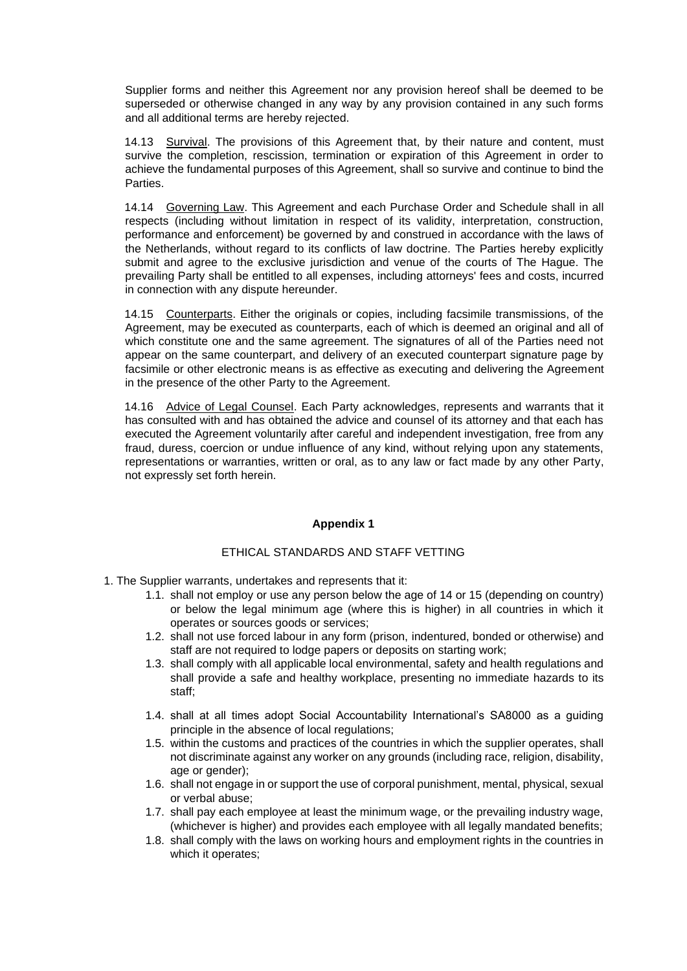Supplier forms and neither this Agreement nor any provision hereof shall be deemed to be superseded or otherwise changed in any way by any provision contained in any such forms and all additional terms are hereby rejected.

14.13 Survival. The provisions of this Agreement that, by their nature and content, must survive the completion, rescission, termination or expiration of this Agreement in order to achieve the fundamental purposes of this Agreement, shall so survive and continue to bind the Parties.

14.14 Governing Law. This Agreement and each Purchase Order and Schedule shall in all respects (including without limitation in respect of its validity, interpretation, construction, performance and enforcement) be governed by and construed in accordance with the laws of the Netherlands, without regard to its conflicts of law doctrine. The Parties hereby explicitly submit and agree to the exclusive jurisdiction and venue of the courts of The Hague. The prevailing Party shall be entitled to all expenses, including attorneys' fees and costs, incurred in connection with any dispute hereunder.

14.15 Counterparts. Either the originals or copies, including facsimile transmissions, of the Agreement, may be executed as counterparts, each of which is deemed an original and all of which constitute one and the same agreement. The signatures of all of the Parties need not appear on the same counterpart, and delivery of an executed counterpart signature page by facsimile or other electronic means is as effective as executing and delivering the Agreement in the presence of the other Party to the Agreement.

14.16 Advice of Legal Counsel. Each Party acknowledges, represents and warrants that it has consulted with and has obtained the advice and counsel of its attorney and that each has executed the Agreement voluntarily after careful and independent investigation, free from any fraud, duress, coercion or undue influence of any kind, without relying upon any statements, representations or warranties, written or oral, as to any law or fact made by any other Party, not expressly set forth herein.

## **Appendix 1**

# ETHICAL STANDARDS AND STAFF VETTING

1. The Supplier warrants, undertakes and represents that it:

- 1.1. shall not employ or use any person below the age of 14 or 15 (depending on country) or below the legal minimum age (where this is higher) in all countries in which it operates or sources goods or services;
- 1.2. shall not use forced labour in any form (prison, indentured, bonded or otherwise) and staff are not required to lodge papers or deposits on starting work;
- 1.3. shall comply with all applicable local environmental, safety and health regulations and shall provide a safe and healthy workplace, presenting no immediate hazards to its staff;
- 1.4. shall at all times adopt Social Accountability International's SA8000 as a guiding principle in the absence of local regulations;
- 1.5. within the customs and practices of the countries in which the supplier operates, shall not discriminate against any worker on any grounds (including race, religion, disability, age or gender);
- 1.6. shall not engage in or support the use of corporal punishment, mental, physical, sexual or verbal abuse;
- 1.7. shall pay each employee at least the minimum wage, or the prevailing industry wage, (whichever is higher) and provides each employee with all legally mandated benefits;
- 1.8. shall comply with the laws on working hours and employment rights in the countries in which it operates;